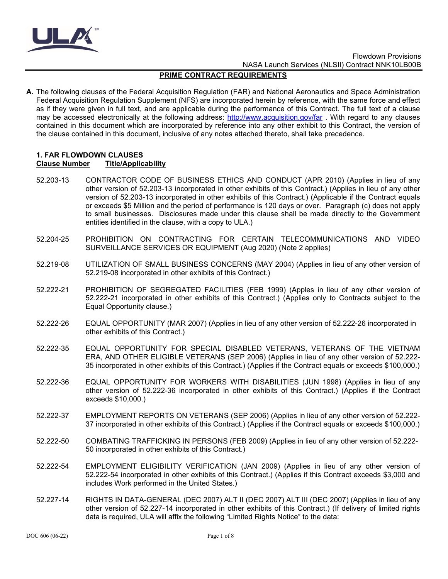

# **PRIME CONTRACT REQUIREMENTS**

**A.** The following clauses of the Federal Acquisition Regulation (FAR) and National Aeronautics and Space Administration Federal Acquisition Regulation Supplement (NFS) are incorporated herein by reference, with the same force and effect as if they were given in full text, and are applicable during the performance of this Contract. The full text of a clause may be accessed electronically at the following address:<http://www.acquisition.gov/far>. With regard to any clauses contained in this document which are incorporated by reference into any other exhibit to this Contract, the version of the clause contained in this document, inclusive of any notes attached thereto, shall take precedence.

## **1. FAR FLOWDOWN CLAUSES Clause Number Title/Applicability**

- 52.203-13 CONTRACTOR CODE OF BUSINESS ETHICS AND CONDUCT (APR 2010) (Applies in lieu of any other version of 52.203-13 incorporated in other exhibits of this Contract.) (Applies in lieu of any other version of 52.203-13 incorporated in other exhibits of this Contract.) (Applicable if the Contract equals or exceeds \$5 Million and the period of performance is 120 days or over. Paragraph (c) does not apply to small businesses. Disclosures made under this clause shall be made directly to the Government entities identified in the clause, with a copy to ULA.)
- 52.204-25 PROHIBITION ON CONTRACTING FOR CERTAIN TELECOMMUNICATIONS AND VIDEO SURVEILLANCE SERVICES OR EQUIPMENT (Aug 2020) (Note 2 applies)
- 52.219-08 UTILIZATION OF SMALL BUSINESS CONCERNS (MAY 2004) (Applies in lieu of any other version of 52.219-08 incorporated in other exhibits of this Contract.)
- 52.222-21 PROHIBITION OF SEGREGATED FACILITIES (FEB 1999) (Apples in lieu of any other version of 52.222-21 incorporated in other exhibits of this Contract.) (Applies only to Contracts subject to the Equal Opportunity clause.)
- 52.222-26 EQUAL OPPORTUNITY (MAR 2007) (Applies in lieu of any other version of 52.222-26 incorporated in other exhibits of this Contract.)
- 52.222-35 EQUAL OPPORTUNITY FOR SPECIAL DISABLED VETERANS, VETERANS OF THE VIETNAM ERA, AND OTHER ELIGIBLE VETERANS (SEP 2006) (Applies in lieu of any other version of 52.222- 35 incorporated in other exhibits of this Contract.) (Applies if the Contract equals or exceeds \$100,000.)
- 52.222-36 EQUAL OPPORTUNITY FOR WORKERS WITH DISABILITIES (JUN 1998) (Applies in lieu of any other version of 52.222-36 incorporated in other exhibits of this Contract.) (Applies if the Contract exceeds \$10,000.)
- 52.222-37 EMPLOYMENT REPORTS ON VETERANS (SEP 2006) (Applies in lieu of any other version of 52.222- 37 incorporated in other exhibits of this Contract.) (Applies if the Contract equals or exceeds \$100,000.)
- 52.222-50 COMBATING TRAFFICKING IN PERSONS (FEB 2009) (Applies in lieu of any other version of 52.222- 50 incorporated in other exhibits of this Contract.)
- 52.222-54 EMPLOYMENT ELIGIBILITY VERIFICATION (JAN 2009) (Applies in lieu of any other version of 52.222-54 incorporated in other exhibits of this Contract.) (Applies if this Contract exceeds \$3,000 and includes Work performed in the United States.)
- 52.227-14 RIGHTS IN DATA-GENERAL (DEC 2007) ALT II (DEC 2007) ALT III (DEC 2007) (Applies in lieu of any other version of 52.227-14 incorporated in other exhibits of this Contract.) (If delivery of limited rights data is required, ULA will affix the following "Limited Rights Notice" to the data: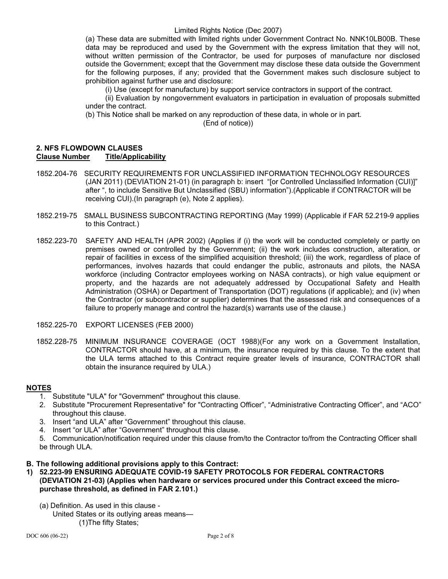(a) These data are submitted with limited rights under Government Contract No. NNK10LB00B. These data may be reproduced and used by the Government with the express limitation that they will not, without written permission of the Contractor, be used for purposes of manufacture nor disclosed outside the Government; except that the Government may disclose these data outside the Government for the following purposes, if any; provided that the Government makes such disclosure subject to prohibition against further use and disclosure:

(i) Use (except for manufacture) by support service contractors in support of the contract.

(ii) Evaluation by nongovernment evaluators in participation in evaluation of proposals submitted under the contract.

(b) This Notice shall be marked on any reproduction of these data, in whole or in part.

(End of notice))

### **2. NFS FLOWDOWN CLAUSES Title/Applicability**

- 1852.204-76 SECURITY REQUIREMENTS FOR UNCLASSIFIED INFORMATION TECHNOLOGY RESOURCES (JAN 2011) (DEVIATION 21-01) (in paragraph b: insert "[or Controlled Unclassified Information (CUI)]" after ", to include Sensitive But Unclassified (SBU) information").(Applicable if CONTRACTOR will be receiving CUI).(In paragraph (e), Note 2 applies).
- 1852.219-75 SMALL BUSINESS SUBCONTRACTING REPORTING (May 1999) (Applicable if FAR 52.219-9 applies to this Contract.)
- 1852.223-70 SAFETY AND HEALTH (APR 2002) (Applies if (i) the work will be conducted completely or partly on premises owned or controlled by the Government; (ii) the work includes construction, alteration, or repair of facilities in excess of the simplified acquisition threshold; (iii) the work, regardless of place of performances, involves hazards that could endanger the public, astronauts and pilots, the NASA workforce (including Contractor employees working on NASA contracts), or high value equipment or property, and the hazards are not adequately addressed by Occupational Safety and Health Administration (OSHA) or Department of Transportation (DOT) regulations (if applicable); and (iv) when the Contractor (or subcontractor or supplier) determines that the assessed risk and consequences of a failure to properly manage and control the hazard(s) warrants use of the clause.)
- 1852.225-70 EXPORT LICENSES (FEB 2000)
- 1852.228-75 MINIMUM INSURANCE COVERAGE (OCT 1988)(For any work on a Government Installation, CONTRACTOR should have, at a minimum, the insurance required by this clause. To the extent that the ULA terms attached to this Contract require greater levels of insurance, CONTRACTOR shall obtain the insurance required by ULA.)

# **NOTES**

- 1. Substitute "ULA" for "Government" throughout this clause.
- 2. Substitute "Procurement Representative" for "Contracting Officer", "Administrative Contracting Officer", and "ACO" throughout this clause.
- 3. Insert "and ULA" after "Government" throughout this clause.
- 4. Insert "or ULA" after "Government" throughout this clause.
- 5. Communication/notification required under this clause from/to the Contractor to/from the Contracting Officer shall be through ULA.
- **B. The following additional provisions apply to this Contract:**
- **1) 52.223-99 ENSURING ADEQUATE COVID-19 SAFETY PROTOCOLS FOR FEDERAL CONTRACTORS (DEVIATION 21-03) (Applies when hardware or services procured under this Contract exceed the micropurchase threshold, as defined in FAR 2.101.)**
	- (a) Definition. As used in this clause United States or its outlying areas means— (1)The fifty States;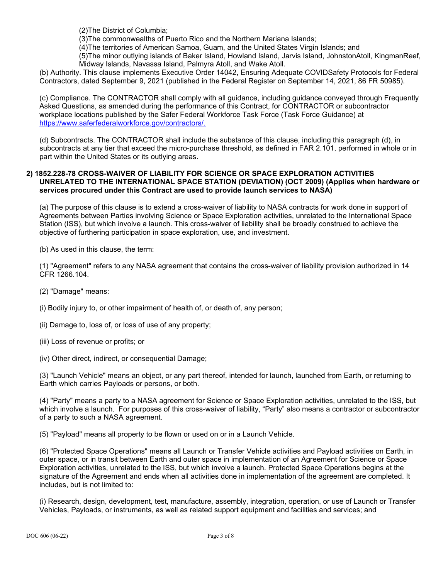(2)The District of Columbia;

(3)The commonwealths of Puerto Rico and the Northern Mariana Islands;

(4)The territories of American Samoa, Guam, and the United States Virgin Islands; and

(5)The minor outlying islands of Baker Island, Howland Island, Jarvis Island, JohnstonAtoll, KingmanReef, Midway Islands, Navassa Island, Palmyra Atoll, and Wake Atoll.

(b) Authority. This clause implements Executive Order 14042, Ensuring Adequate COVIDSafety Protocols for Federal Contractors, dated September 9, 2021 (published in the Federal Register on September 14, 2021, 86 FR 50985).

(c) Compliance. The CONTRACTOR shall comply with all guidance, including guidance conveyed through Frequently Asked Questions, as amended during the performance of this Contract, for CONTRACTOR or subcontractor workplace locations published by the Safer Federal Workforce Task Force (Task Force Guidance) at [https://www.saferfederalworkforce.gov/contractors/.](https://www.saferfederalworkforce.gov/contractors/)

(d) Subcontracts. The CONTRACTOR shall include the substance of this clause, including this paragraph (d), in subcontracts at any tier that exceed the micro-purchase threshold, as defined in FAR 2.101, performed in whole or in part within the United States or its outlying areas.

# **2) 1852.228-78 CROSS-WAIVER OF LIABILITY FOR SCIENCE OR SPACE EXPLORATION ACTIVITIES UNRELATED TO THE INTERNATIONAL SPACE STATION (DEVIATION) (OCT 2009) (Applies when hardware or services procured under this Contract are used to provide launch services to NASA)**

(a) The purpose of this clause is to extend a cross-waiver of liability to NASA contracts for work done in support of Agreements between Parties involving Science or Space Exploration activities, unrelated to the International Space Station (ISS), but which involve a launch. This cross-waiver of liability shall be broadly construed to achieve the objective of furthering participation in space exploration, use, and investment.

(b) As used in this clause, the term:

(1) "Agreement" refers to any NASA agreement that contains the cross-waiver of liability provision authorized in 14 CFR 1266.104.

- (2) "Damage" means:
- (i) Bodily injury to, or other impairment of health of, or death of, any person;
- (ii) Damage to, loss of, or loss of use of any property;
- (iii) Loss of revenue or profits; or
- (iv) Other direct, indirect, or consequential Damage;

(3) "Launch Vehicle" means an object, or any part thereof, intended for launch, launched from Earth, or returning to Earth which carries Payloads or persons, or both.

(4) "Party" means a party to a NASA agreement for Science or Space Exploration activities, unrelated to the ISS, but which involve a launch. For purposes of this cross-waiver of liability, "Party" also means a contractor or subcontractor of a party to such a NASA agreement.

(5) "Payload" means all property to be flown or used on or in a Launch Vehicle.

(6) "Protected Space Operations" means all Launch or Transfer Vehicle activities and Payload activities on Earth, in outer space, or in transit between Earth and outer space in implementation of an Agreement for Science or Space Exploration activities, unrelated to the ISS, but which involve a launch. Protected Space Operations begins at the signature of the Agreement and ends when all activities done in implementation of the agreement are completed. It includes, but is not limited to:

(i) Research, design, development, test, manufacture, assembly, integration, operation, or use of Launch or Transfer Vehicles, Payloads, or instruments, as well as related support equipment and facilities and services; and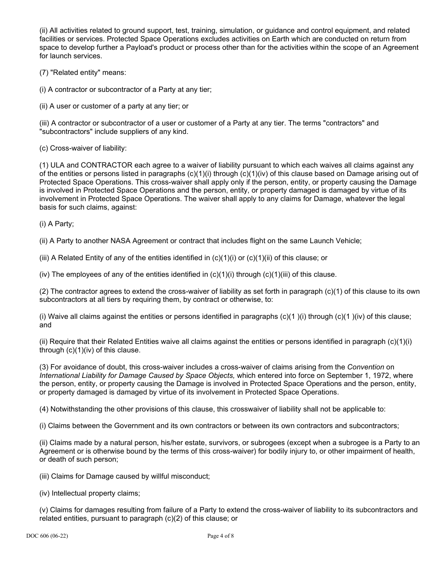(ii) All activities related to ground support, test, training, simulation, or guidance and control equipment, and related facilities or services. Protected Space Operations excludes activities on Earth which are conducted on return from space to develop further a Payload's product or process other than for the activities within the scope of an Agreement for launch services.

(7) "Related entity" means:

(i) A contractor or subcontractor of a Party at any tier;

(ii) A user or customer of a party at any tier; or

(iii) A contractor or subcontractor of a user or customer of a Party at any tier. The terms "contractors" and "subcontractors" include suppliers of any kind.

(c) Cross-waiver of liability:

(1) ULA and CONTRACTOR each agree to a waiver of liability pursuant to which each waives all claims against any of the entities or persons listed in paragraphs  $(c)(1)(i)$  through  $(c)(1)(iv)$  of this clause based on Damage arising out of Protected Space Operations. This cross-waiver shall apply only if the person, entity, or property causing the Damage is involved in Protected Space Operations and the person, entity, or property damaged is damaged by virtue of its involvement in Protected Space Operations. The waiver shall apply to any claims for Damage, whatever the legal basis for such claims, against:

(i) A Party;

(ii) A Party to another NASA Agreement or contract that includes flight on the same Launch Vehicle;

(iii) A Related Entity of any of the entities identified in  $(c)(1)(i)$  or  $(c)(1)(ii)$  of this clause; or

(iv) The employees of any of the entities identified in  $(c)(1)(i)$  through  $(c)(1)(iii)$  of this clause.

(2) The contractor agrees to extend the cross-waiver of liability as set forth in paragraph (c)(1) of this clause to its own subcontractors at all tiers by requiring them, by contract or otherwise, to:

(i) Waive all claims against the entities or persons identified in paragraphs  $(c)(1)$  (i) through  $(c)(1)$  (iv) of this clause; and

(ii) Require that their Related Entities waive all claims against the entities or persons identified in paragraph  $(c)(1)(i)$ through (c)(1)(iv) of this clause.

(3) For avoidance of doubt, this cross-waiver includes a cross-waiver of claims arising from the *Convention* on *International Liability for Damage Caused by Space Objects,* which entered into force on September 1, 1972, where the person, entity, or property causing the Damage is involved in Protected Space Operations and the person, entity, or property damaged is damaged by virtue of its involvement in Protected Space Operations.

(4) Notwithstanding the other provisions of this clause, this crosswaiver of liability shall not be applicable to:

(i) Claims between the Government and its own contractors or between its own contractors and subcontractors;

(ii) Claims made by a natural person, his/her estate, survivors, or subrogees (except when a subrogee is a Party to an Agreement or is otherwise bound by the terms of this cross-waiver) for bodily injury to, or other impairment of health, or death of such person;

(iii) Claims for Damage caused by willful misconduct;

(iv) Intellectual property claims;

(v) Claims for damages resulting from failure of a Party to extend the cross-waiver of liability to its subcontractors and related entities, pursuant to paragraph (c)(2) of this clause; or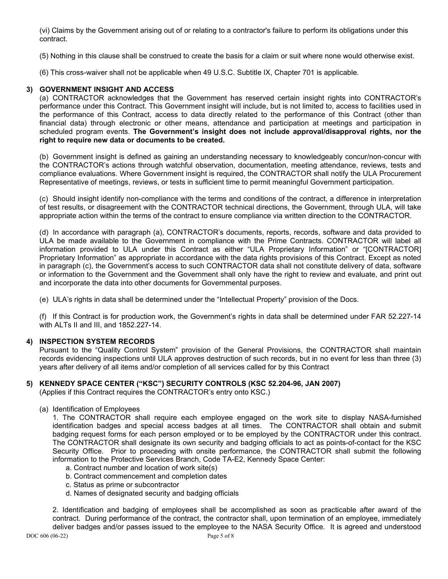(vi) Claims by the Government arising out of or relating to a contractor's failure to perform its obligations under this contract.

(5) Nothing in this clause shall be construed to create the basis for a claim or suit where none would otherwise exist.

(6) This cross-waiver shall not be applicable when 49 U.S.C. Subtitle IX, Chapter 701 is applicable.

# **3) GOVERNMENT INSIGHT AND ACCESS**

(a) CONTRACTOR acknowledges that the Government has reserved certain insight rights into CONTRACTOR's performance under this Contract. This Government insight will include, but is not limited to, access to facilities used in the performance of this Contract, access to data directly related to the performance of this Contract (other than financial data) through electronic or other means, attendance and participation at meetings and participation in scheduled program events. **The Government's insight does not include approval/disapproval rights, nor the right to require new data or documents to be created.**

(b) Government insight is defined as gaining an understanding necessary to knowledgeably concur/non-concur with the CONTRACTOR's actions through watchful observation, documentation, meeting attendance, reviews, tests and compliance evaluations. Where Government insight is required, the CONTRACTOR shall notify the ULA Procurement Representative of meetings, reviews, or tests in sufficient time to permit meaningful Government participation.

(c) Should insight identify non-compliance with the terms and conditions of the contract, a difference in interpretation of test results, or disagreement with the CONTRACTOR technical directions, the Government, through ULA, will take appropriate action within the terms of the contract to ensure compliance via written direction to the CONTRACTOR.

(d) In accordance with paragraph (a), CONTRACTOR's documents, reports, records, software and data provided to ULA be made available to the Government in compliance with the Prime Contracts. CONTRACTOR will label all information provided to ULA under this Contract as either "ULA Proprietary Information" or "[CONTRACTOR] Proprietary Information" as appropriate in accordance with the data rights provisions of this Contract. Except as noted in paragraph (c), the Government's access to such CONTRACTOR data shall not constitute delivery of data, software or information to the Government and the Government shall only have the right to review and evaluate, and print out and incorporate the data into other documents for Governmental purposes.

(e) ULA's rights in data shall be determined under the "Intellectual Property" provision of the Docs.

(f) If this Contract is for production work, the Government's rights in data shall be determined under FAR 52.227-14 with ALTs II and III, and 1852.227-14.

# **4) INSPECTION SYSTEM RECORDS**

Pursuant to the "Quality Control System" provision of the General Provisions, the CONTRACTOR shall maintain records evidencing inspections until ULA approves destruction of such records, but in no event for less than three (3) years after delivery of all items and/or completion of all services called for by this Contract

#### **5) KENNEDY SPACE CENTER ("KSC") SECURITY CONTROLS (KSC 52.204-96, JAN 2007)**

(Applies if this Contract requires the CONTRACTOR's entry onto KSC.)

(a) Identification of Employees

1. The CONTRACTOR shall require each employee engaged on the work site to display NASA-furnished identification badges and special access badges at all times. The CONTRACTOR shall obtain and submit badging request forms for each person employed or to be employed by the CONTRACTOR under this contract. The CONTRACTOR shall designate its own security and badging officials to act as points-of-contact for the KSC Security Office. Prior to proceeding with onsite performance, the CONTRACTOR shall submit the following information to the Protective Services Branch, Code TA-E2, Kennedy Space Center:

- a. Contract number and location of work site(s)
- b. Contract commencement and completion dates
- c. Status as prime or subcontractor
- d. Names of designated security and badging officials

2. Identification and badging of employees shall be accomplished as soon as practicable after award of the contract. During performance of the contract, the contractor shall, upon termination of an employee, immediately deliver badges and/or passes issued to the employee to the NASA Security Office. It is agreed and understood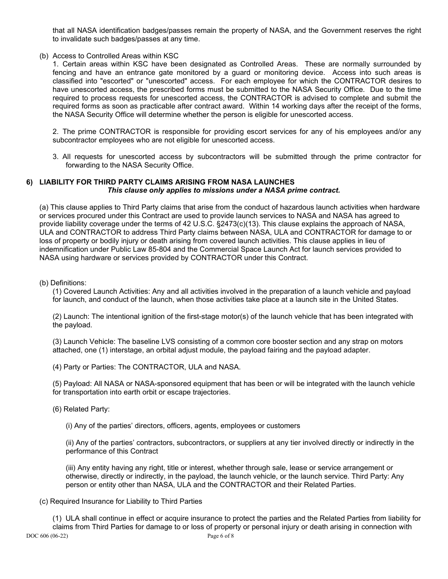that all NASA identification badges/passes remain the property of NASA, and the Government reserves the right to invalidate such badges/passes at any time.

(b) Access to Controlled Areas within KSC

1. Certain areas within KSC have been designated as Controlled Areas. These are normally surrounded by fencing and have an entrance gate monitored by a guard or monitoring device. Access into such areas is classified into "escorted" or "unescorted" access. For each employee for which the CONTRACTOR desires to have unescorted access, the prescribed forms must be submitted to the NASA Security Office. Due to the time required to process requests for unescorted access, the CONTRACTOR is advised to complete and submit the required forms as soon as practicable after contract award. Within 14 working days after the receipt of the forms, the NASA Security Office will determine whether the person is eligible for unescorted access.

2. The prime CONTRACTOR is responsible for providing escort services for any of his employees and/or any subcontractor employees who are not eligible for unescorted access.

3. All requests for unescorted access by subcontractors will be submitted through the prime contractor for forwarding to the NASA Security Office.

### **6) LIABILITY FOR THIRD PARTY CLAIMS ARISING FROM NASA LAUNCHES** *This clause only applies to missions under a NASA prime contract.*

(a) This clause applies to Third Party claims that arise from the conduct of hazardous launch activities when hardware or services procured under this Contract are used to provide launch services to NASA and NASA has agreed to provide liability coverage under the terms of 42 U.S.C. §2473(c)(13). This clause explains the approach of NASA, ULA and CONTRACTOR to address Third Party claims between NASA, ULA and CONTRACTOR for damage to or loss of property or bodily injury or death arising from covered launch activities. This clause applies in lieu of indemnification under Public Law 85-804 and the Commercial Space Launch Act for launch services provided to NASA using hardware or services provided by CONTRACTOR under this Contract.

(b) Definitions:

(1) Covered Launch Activities: Any and all activities involved in the preparation of a launch vehicle and payload for launch, and conduct of the launch, when those activities take place at a launch site in the United States.

(2) Launch: The intentional ignition of the first-stage motor(s) of the launch vehicle that has been integrated with the payload.

(3) Launch Vehicle: The baseline LVS consisting of a common core booster section and any strap on motors attached, one (1) interstage, an orbital adjust module, the payload fairing and the payload adapter.

(4) Party or Parties: The CONTRACTOR, ULA and NASA.

(5) Payload: All NASA or NASA-sponsored equipment that has been or will be integrated with the launch vehicle for transportation into earth orbit or escape trajectories.

(6) Related Party:

(i) Any of the parties' directors, officers, agents, employees or customers

(ii) Any of the parties' contractors, subcontractors, or suppliers at any tier involved directly or indirectly in the performance of this Contract

(iii) Any entity having any right, title or interest, whether through sale, lease or service arrangement or otherwise, directly or indirectly, in the payload, the launch vehicle, or the launch service. Third Party: Any person or entity other than NASA, ULA and the CONTRACTOR and their Related Parties.

(c) Required Insurance for Liability to Third Parties

DOC 606 (06-22) Page 6 of 8 (1) ULA shall continue in effect or acquire insurance to protect the parties and the Related Parties from liability for claims from Third Parties for damage to or loss of property or personal injury or death arising in connection with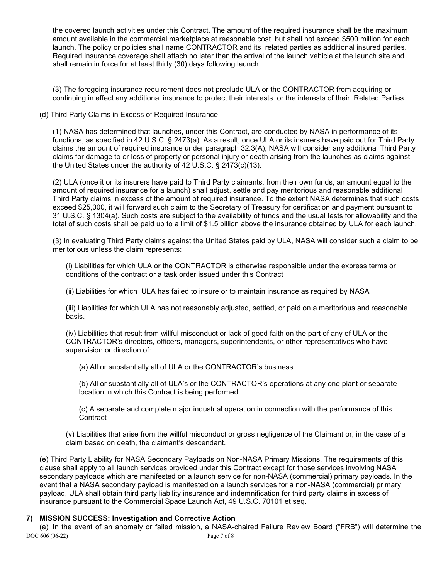the covered launch activities under this Contract. The amount of the required insurance shall be the maximum amount available in the commercial marketplace at reasonable cost, but shall not exceed \$500 million for each launch. The policy or policies shall name CONTRACTOR and its related parties as additional insured parties. Required insurance coverage shall attach no later than the arrival of the launch vehicle at the launch site and shall remain in force for at least thirty (30) days following launch.

(3) The foregoing insurance requirement does not preclude ULA or the CONTRACTOR from acquiring or continuing in effect any additional insurance to protect their interests or the interests of their Related Parties.

(d) Third Party Claims in Excess of Required Insurance

(1) NASA has determined that launches, under this Contract, are conducted by NASA in performance of its functions, as specified in 42 U.S.C. § 2473(a). As a result, once ULA or its insurers have paid out for Third Party claims the amount of required insurance under paragraph 32.3(A), NASA will consider any additional Third Party claims for damage to or loss of property or personal injury or death arising from the launches as claims against the United States under the authority of 42 U.S.C. § 2473(c)(13).

(2) ULA (once it or its insurers have paid to Third Party claimants, from their own funds, an amount equal to the amount of required insurance for a launch) shall adjust, settle and pay meritorious and reasonable additional Third Party claims in excess of the amount of required insurance. To the extent NASA determines that such costs exceed \$25,000, it will forward such claim to the Secretary of Treasury for certification and payment pursuant to 31 U.S.C. § 1304(a). Such costs are subject to the availability of funds and the usual tests for allowability and the total of such costs shall be paid up to a limit of \$1.5 billion above the insurance obtained by ULA for each launch.

(3) In evaluating Third Party claims against the United States paid by ULA, NASA will consider such a claim to be meritorious unless the claim represents:

(i) Liabilities for which ULA or the CONTRACTOR is otherwise responsible under the express terms or conditions of the contract or a task order issued under this Contract

(ii) Liabilities for which ULA has failed to insure or to maintain insurance as required by NASA

(iii) Liabilities for which ULA has not reasonably adjusted, settled, or paid on a meritorious and reasonable basis.

(iv) Liabilities that result from willful misconduct or lack of good faith on the part of any of ULA or the CONTRACTOR's directors, officers, managers, superintendents, or other representatives who have supervision or direction of:

(a) All or substantially all of ULA or the CONTRACTOR's business

(b) All or substantially all of ULA's or the CONTRACTOR's operations at any one plant or separate location in which this Contract is being performed

(c) A separate and complete major industrial operation in connection with the performance of this **Contract** 

(v) Liabilities that arise from the willful misconduct or gross negligence of the Claimant or, in the case of a claim based on death, the claimant's descendant.

(e) Third Party Liability for NASA Secondary Payloads on Non-NASA Primary Missions. The requirements of this clause shall apply to all launch services provided under this Contract except for those services involving NASA secondary payloads which are manifested on a launch service for non-NASA (commercial) primary payloads. In the event that a NASA secondary payload is manifested on a launch services for a non-NASA (commercial) primary payload, ULA shall obtain third party liability insurance and indemnification for third party claims in excess of insurance pursuant to the Commercial Space Launch Act, 49 U.S.C. 70101 et seq.

# **7) MISSION SUCCESS: Investigation and Corrective Action**

DOC 606 (06-22) Page 7 of 8 (a) In the event of an anomaly or failed mission, a NASA-chaired Failure Review Board ("FRB") will determine the